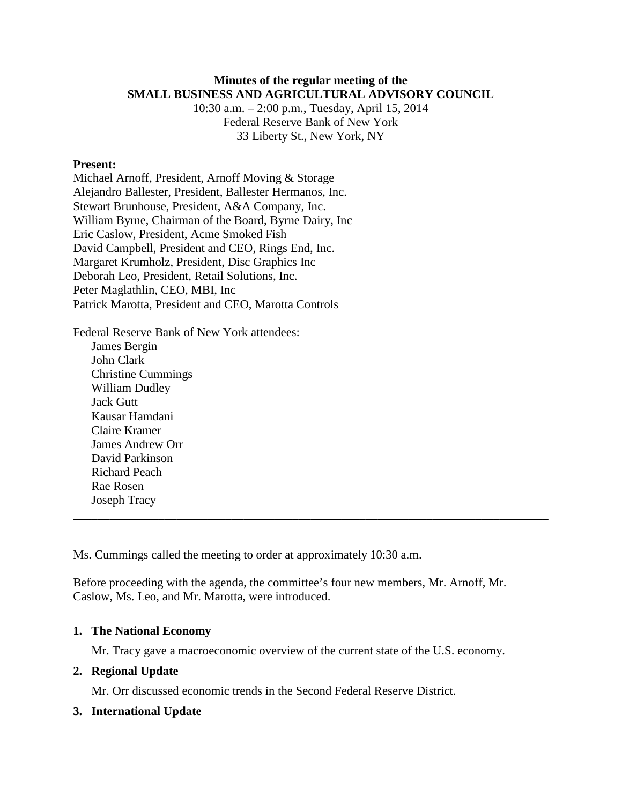### **Minutes of the regular meeting of the SMALL BUSINESS AND AGRICULTURAL ADVISORY COUNCIL**

10:30 a.m. – 2:00 p.m., Tuesday, April 15, 2014 Federal Reserve Bank of New York 33 Liberty St., New York, NY

### **Present:**

Michael Arnoff, President, Arnoff Moving & Storage Alejandro Ballester, President, Ballester Hermanos, Inc. Stewart Brunhouse, President, A&A Company, Inc. William Byrne, Chairman of the Board, Byrne Dairy, Inc Eric Caslow, President, Acme Smoked Fish David Campbell, President and CEO, Rings End, Inc. Margaret Krumholz, President, Disc Graphics Inc Deborah Leo, President, Retail Solutions, Inc. Peter Maglathlin, CEO, MBI, Inc Patrick Marotta, President and CEO, Marotta Controls

Federal Reserve Bank of New York attendees: James Bergin John Clark Christine Cummings William Dudley Jack Gutt Kausar Hamdani Claire Kramer James Andrew Orr David Parkinson Richard Peach Rae Rosen

Ms. Cummings called the meeting to order at approximately 10:30 a.m.

Before proceeding with the agenda, the committee's four new members, Mr. Arnoff, Mr. Caslow, Ms. Leo, and Mr. Marotta, were introduced.

**\_\_\_\_\_\_\_\_\_\_\_\_\_\_\_\_\_\_\_\_\_\_\_\_\_\_\_\_\_\_\_\_\_\_\_\_\_\_\_\_\_\_\_\_\_\_\_\_\_\_\_\_\_\_\_\_\_\_\_\_\_\_\_\_\_\_\_\_\_\_\_\_\_\_\_\_\_\_**

### **1. The National Economy**

Mr. Tracy gave a macroeconomic overview of the current state of the U.S. economy.

## **2. Regional Update**

Joseph Tracy

Mr. Orr discussed economic trends in the Second Federal Reserve District.

### **3. International Update**